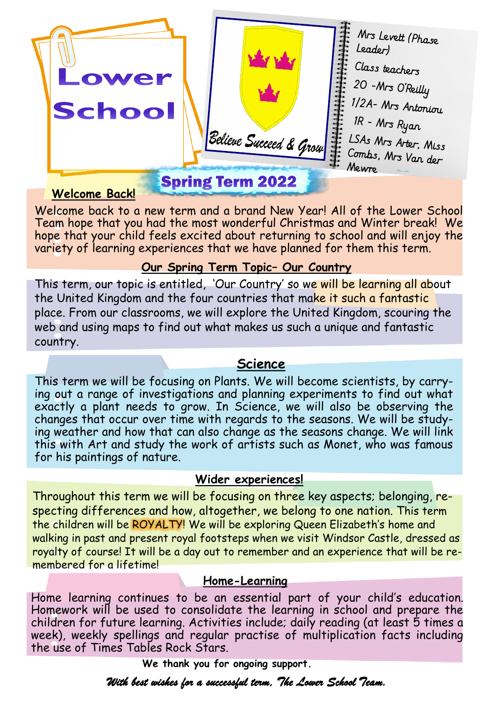

#### **Welcome Back!**

Welcome back to a new term and a brand New Year! All of the Lower School Team hope that you had the most wonderful Christmas and Winter break! We hope that your child feels excited about returning to school and will enjoy the variety of learning experiences that we have planned for them this term.

### **Our Spring Term Topic– Our Country**

This term, our topic is entitled, 'Our Country' so we will be learning all about the United Kingdom and the four countries that make it such a fantastic place. From our classrooms, we will explore the United Kingdom, scouring the web and using maps to find out what makes us such a unique and fantastic country.

### **Science**

This term we will be focusing on Plants. We will become scientists, by carrying out a range of investigations and planning experiments to find out what exactly a plant needs to grow. In Science, we will also be observing the changes that occur over time with regards to the seasons. We will be studying weather and how that can also change as the seasons change. We will link this with Art and study the work of artists such as Monet, who was famous for his paintings of nature.

## **Wider experiences!**

Throughout this term we will be focusing on three key aspects; belonging, respecting differences and how, altogether, we belong to one nation. This term the children will be ROYALTY! We will be exploring Queen Elizabeth's home and walking in past and present royal footsteps when we visit Windsor Castle, dressed as royalty of course! It will be a day out to remember and an experience that will be remembered for a lifetime!

## **Home-Learning**

Home learning continues to be an essential part of your child's education. Homework will be used to consolidate the learning in school and prepare the children for future learning. Activities include; daily reading (at least 5 times a week), weekly spellings and regular practise of multiplication facts including the use of Times Tables Rock Stars.

 **We thank you for ongoing support.**

*With best wishes for a successful term, The Lower School Team.*